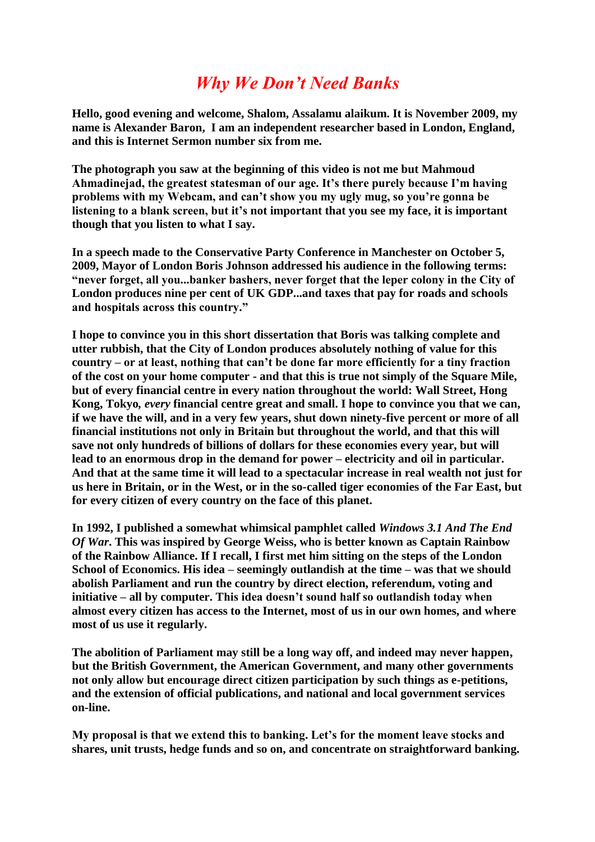## *Why We Don't Need Banks*

**Hello, good evening and welcome, Shalom, Assalamu alaikum. It is November 2009, my name is Alexander Baron, I am an independent researcher based in London, England, and this is Internet Sermon number six from me.**

**The photograph you saw at the beginning of this video is not me but Mahmoud Ahmadinejad, the greatest statesman of our age. It's there purely because I'm having problems with my Webcam, and can't show you my ugly mug, so you're gonna be listening to a blank screen, but it's not important that you see my face, it is important though that you listen to what I say.**

**In a speech made to the Conservative Party Conference in Manchester on October 5, 2009, Mayor of London Boris Johnson addressed his audience in the following terms: "never forget, all you...banker bashers, never forget that the leper colony in the City of London produces nine per cent of UK GDP...and taxes that pay for roads and schools and hospitals across this country."**

**I hope to convince you in this short dissertation that Boris was talking complete and utter rubbish, that the City of London produces absolutely nothing of value for this country – or at least, nothing that can't be done far more efficiently for a tiny fraction of the cost on your home computer - and that this is true not simply of the Square Mile, but of every financial centre in every nation throughout the world: Wall Street, Hong Kong, Tokyo***, every* **financial centre great and small. I hope to convince you that we can, if we have the will, and in a very few years, shut down ninety-five percent or more of all financial institutions not only in Britain but throughout the world, and that this will save not only hundreds of billions of dollars for these economies every year, but will lead to an enormous drop in the demand for power – electricity and oil in particular. And that at the same time it will lead to a spectacular increase in real wealth not just for us here in Britain, or in the West, or in the so-called tiger economies of the Far East, but for every citizen of every country on the face of this planet.**

**In 1992, I published a somewhat whimsical pamphlet called** *Windows 3.1 And The End Of War***. This was inspired by George Weiss, who is better known as Captain Rainbow of the Rainbow Alliance. If I recall, I first met him sitting on the steps of the London School of Economics. His idea – seemingly outlandish at the time – was that we should abolish Parliament and run the country by direct election, referendum, voting and initiative – all by computer. This idea doesn't sound half so outlandish today when almost every citizen has access to the Internet, most of us in our own homes, and where most of us use it regularly.** 

**The abolition of Parliament may still be a long way off, and indeed may never happen, but the British Government, the American Government, and many other governments not only allow but encourage direct citizen participation by such things as e-petitions, and the extension of official publications, and national and local government services on-line.**

**My proposal is that we extend this to banking. Let's for the moment leave stocks and shares, unit trusts, hedge funds and so on, and concentrate on straightforward banking.**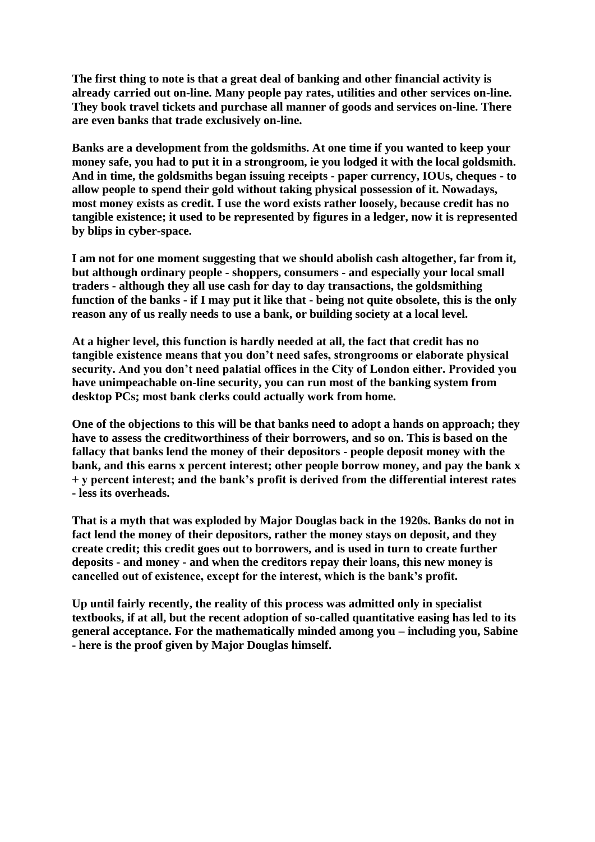**The first thing to note is that a great deal of banking and other financial activity is already carried out on-line. Many people pay rates, utilities and other services on-line. They book travel tickets and purchase all manner of goods and services on-line. There are even banks that trade exclusively on-line.** 

**Banks are a development from the goldsmiths. At one time if you wanted to keep your money safe, you had to put it in a strongroom, ie you lodged it with the local goldsmith. And in time, the goldsmiths began issuing receipts - paper currency, IOUs, cheques - to allow people to spend their gold without taking physical possession of it. Nowadays, most money exists as credit. I use the word exists rather loosely, because credit has no tangible existence; it used to be represented by figures in a ledger, now it is represented by blips in cyber-space.**

**I am not for one moment suggesting that we should abolish cash altogether, far from it, but although ordinary people - shoppers, consumers - and especially your local small traders - although they all use cash for day to day transactions, the goldsmithing function of the banks - if I may put it like that - being not quite obsolete, this is the only reason any of us really needs to use a bank, or building society at a local level.** 

**At a higher level, this function is hardly needed at all, the fact that credit has no tangible existence means that you don't need safes, strongrooms or elaborate physical security. And you don't need palatial offices in the City of London either. Provided you have unimpeachable on-line security, you can run most of the banking system from desktop PCs; most bank clerks could actually work from home.**

**One of the objections to this will be that banks need to adopt a hands on approach; they have to assess the creditworthiness of their borrowers, and so on. This is based on the fallacy that banks lend the money of their depositors - people deposit money with the bank, and this earns x percent interest; other people borrow money, and pay the bank x + y percent interest; and the bank's profit is derived from the differential interest rates - less its overheads.** 

**That is a myth that was exploded by Major Douglas back in the 1920s. Banks do not in fact lend the money of their depositors, rather the money stays on deposit, and they create credit; this credit goes out to borrowers, and is used in turn to create further deposits - and money - and when the creditors repay their loans, this new money is cancelled out of existence, except for the interest, which is the bank's profit.** 

**Up until fairly recently, the reality of this process was admitted only in specialist textbooks, if at all, but the recent adoption of so-called quantitative easing has led to its general acceptance. For the mathematically minded among you – including you, Sabine - here is the proof given by Major Douglas himself.**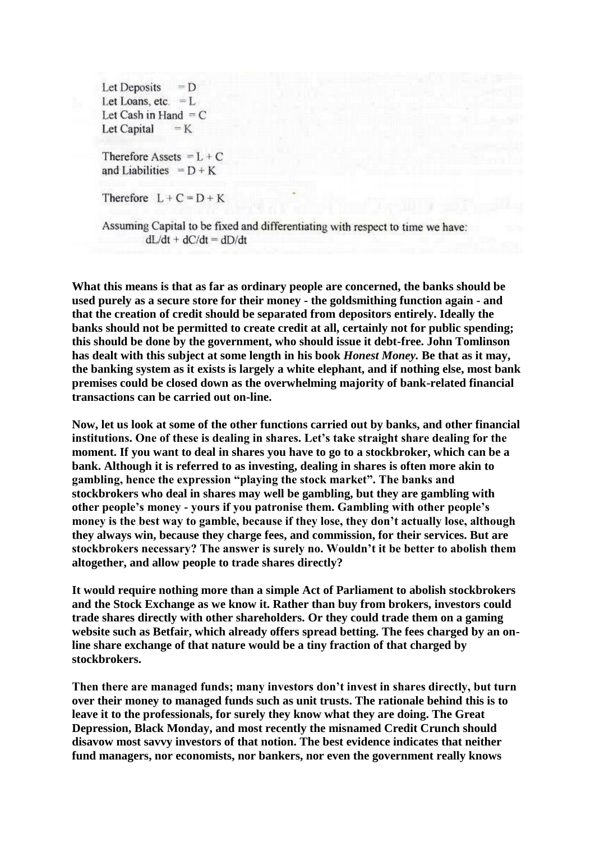Let Deposits  $= D$ Let Loans, etc.  $=L$ Let Cash in Hand  $=C$ Let Capital  $=$  K

Therefore Assets  $=L + C$ and Liabilities =  $D + K$ 

Therefore  $L + C = D + K$ 

Assuming Capital to be fixed and differentiating with respect to time we have:  $dL/dt + dC/dt = dD/dt$ 

**What this means is that as far as ordinary people are concerned, the banks should be used purely as a secure store for their money - the goldsmithing function again - and that the creation of credit should be separated from depositors entirely. Ideally the banks should not be permitted to create credit at all, certainly not for public spending; this should be done by the government, who should issue it debt-free. John Tomlinson has dealt with this subject at some length in his book** *Honest Money.* **Be that as it may, the banking system as it exists is largely a white elephant, and if nothing else, most bank premises could be closed down as the overwhelming majority of bank-related financial transactions can be carried out on-line.**

**Now, let us look at some of the other functions carried out by banks, and other financial institutions. One of these is dealing in shares. Let's take straight share dealing for the moment. If you want to deal in shares you have to go to a stockbroker, which can be a bank. Although it is referred to as investing, dealing in shares is often more akin to gambling, hence the expression "playing the stock market". The banks and stockbrokers who deal in shares may well be gambling, but they are gambling with other people's money - yours if you patronise them. Gambling with other people's money is the best way to gamble, because if they lose, they don't actually lose, although they always win, because they charge fees, and commission, for their services. But are stockbrokers necessary? The answer is surely no. Wouldn't it be better to abolish them altogether, and allow people to trade shares directly?** 

**It would require nothing more than a simple Act of Parliament to abolish stockbrokers and the Stock Exchange as we know it. Rather than buy from brokers, investors could trade shares directly with other shareholders. Or they could trade them on a gaming website such as Betfair, which already offers spread betting. The fees charged by an online share exchange of that nature would be a tiny fraction of that charged by stockbrokers.**

**Then there are managed funds; many investors don't invest in shares directly, but turn over their money to managed funds such as unit trusts. The rationale behind this is to leave it to the professionals, for surely they know what they are doing. The Great Depression, Black Monday, and most recently the misnamed Credit Crunch should disavow most savvy investors of that notion. The best evidence indicates that neither fund managers, nor economists, nor bankers, nor even the government really knows**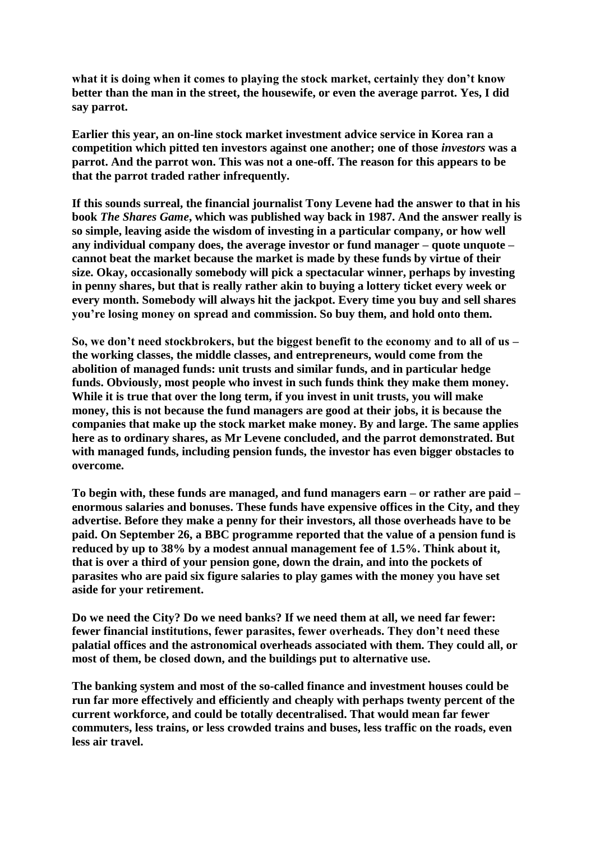**what it is doing when it comes to playing the stock market, certainly they don't know better than the man in the street, the housewife, or even the average parrot. Yes, I did say parrot.**

**Earlier this year, an on-line stock market investment advice service in Korea ran a competition which pitted ten investors against one another; one of those** *investors* **was a parrot. And the parrot won. This was not a one-off. The reason for this appears to be that the parrot traded rather infrequently.**

**If this sounds surreal, the financial journalist Tony Levene had the answer to that in his book** *The Shares Game***, which was published way back in 1987. And the answer really is so simple, leaving aside the wisdom of investing in a particular company, or how well any individual company does, the average investor or fund manager – quote unquote – cannot beat the market because the market is made by these funds by virtue of their size. Okay, occasionally somebody will pick a spectacular winner, perhaps by investing in penny shares, but that is really rather akin to buying a lottery ticket every week or every month. Somebody will always hit the jackpot. Every time you buy and sell shares you're losing money on spread and commission. So buy them, and hold onto them.** 

**So, we don't need stockbrokers, but the biggest benefit to the economy and to all of us – the working classes, the middle classes, and entrepreneurs, would come from the abolition of managed funds: unit trusts and similar funds, and in particular hedge funds. Obviously, most people who invest in such funds think they make them money. While it is true that over the long term, if you invest in unit trusts, you will make money, this is not because the fund managers are good at their jobs, it is because the companies that make up the stock market make money. By and large. The same applies here as to ordinary shares, as Mr Levene concluded, and the parrot demonstrated. But with managed funds, including pension funds, the investor has even bigger obstacles to overcome.** 

**To begin with, these funds are managed, and fund managers earn – or rather are paid – enormous salaries and bonuses. These funds have expensive offices in the City, and they advertise. Before they make a penny for their investors, all those overheads have to be paid. On September 26, a BBC programme reported that the value of a pension fund is reduced by up to 38% by a modest annual management fee of 1.5%. Think about it, that is over a third of your pension gone, down the drain, and into the pockets of parasites who are paid six figure salaries to play games with the money you have set aside for your retirement.**

**Do we need the City? Do we need banks? If we need them at all, we need far fewer: fewer financial institutions, fewer parasites, fewer overheads. They don't need these palatial offices and the astronomical overheads associated with them. They could all, or most of them, be closed down, and the buildings put to alternative use.** 

**The banking system and most of the so-called finance and investment houses could be run far more effectively and efficiently and cheaply with perhaps twenty percent of the current workforce, and could be totally decentralised. That would mean far fewer commuters, less trains, or less crowded trains and buses, less traffic on the roads, even less air travel.**